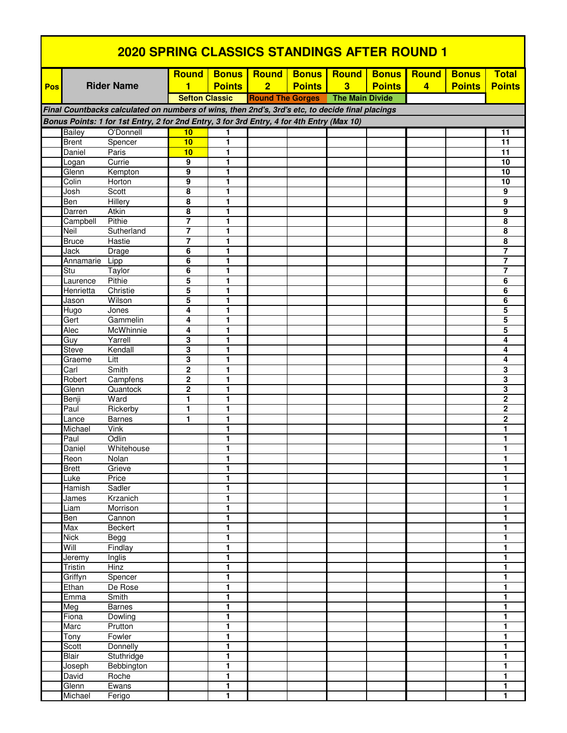| <b>2020 SPRING CLASSICS STANDINGS AFTER ROUND 1</b>                                       |                        |                                                                                                 |                       |                              |                         |               |                        |               |                |               |                                         |
|-------------------------------------------------------------------------------------------|------------------------|-------------------------------------------------------------------------------------------------|-----------------------|------------------------------|-------------------------|---------------|------------------------|---------------|----------------|---------------|-----------------------------------------|
|                                                                                           |                        |                                                                                                 | <b>Round</b>          | <b>Bonus</b>                 | <b>Round</b>            | <b>Bonus</b>  | <b>Round</b>           | <b>Bonus</b>  | <b>Round</b>   | <b>Bonus</b>  | <b>Total</b>                            |
| Pos                                                                                       |                        | <b>Rider Name</b>                                                                               | 1                     | <b>Points</b>                | $\overline{2}$          | <b>Points</b> | 3                      | <b>Points</b> | $\overline{4}$ | <b>Points</b> | <b>Points</b>                           |
|                                                                                           |                        |                                                                                                 | <b>Sefton Classic</b> |                              | <b>Round The Gorges</b> |               | <b>The Main Divide</b> |               |                |               |                                         |
|                                                                                           |                        | Final Countbacks calculated on numbers of wins, then 2nd's, 3rd's etc, to decide final placings |                       |                              |                         |               |                        |               |                |               |                                         |
| Bonus Points: 1 for 1st Entry, 2 for 2nd Entry, 3 for 3rd Entry, 4 for 4th Entry (Max 10) |                        |                                                                                                 |                       |                              |                         |               |                        |               |                |               |                                         |
|                                                                                           | Bailey                 | O'Donnell                                                                                       | 10                    | 1                            |                         |               |                        |               |                |               | 11                                      |
|                                                                                           | <b>Brent</b>           | Spencer                                                                                         | 10                    | 1                            |                         |               |                        |               |                |               | 11                                      |
|                                                                                           | Daniel                 | Paris                                                                                           | 10                    | 1                            |                         |               |                        |               |                |               | 11                                      |
|                                                                                           | Logan                  | Currie                                                                                          | 9                     | 1                            |                         |               |                        |               |                |               | 10                                      |
|                                                                                           | Glenn                  | Kempton                                                                                         | 9                     | 1                            |                         |               |                        |               |                |               | 10                                      |
|                                                                                           | Colin<br>Josh          | Horton<br>Scott                                                                                 | 9<br>8                | 1<br>1                       |                         |               |                        |               |                |               | 10<br>9                                 |
|                                                                                           | Ben                    | <b>Hillery</b>                                                                                  | 8                     | 1                            |                         |               |                        |               |                |               | 9                                       |
|                                                                                           | Darren                 | Atkin                                                                                           | 8                     | 1                            |                         |               |                        |               |                |               | 9                                       |
|                                                                                           | Campbell               | Pithie                                                                                          | 7                     | 1                            |                         |               |                        |               |                |               | 8                                       |
|                                                                                           | Neil                   | Sutherland                                                                                      | $\overline{7}$        | 1                            |                         |               |                        |               |                |               | 8                                       |
|                                                                                           | <b>Bruce</b>           | Hastie                                                                                          | $\overline{7}$        | 1                            |                         |               |                        |               |                |               | 8                                       |
|                                                                                           | Jack                   | Drage                                                                                           | 6                     | 1                            |                         |               |                        |               |                |               | $\overline{\mathbf{7}}$                 |
|                                                                                           | Annamarie              | Lipp                                                                                            | 6                     | 1                            |                         |               |                        |               |                |               | 7<br>$\overline{7}$                     |
|                                                                                           | Stu<br>Laurence        | Taylor<br>Pithie                                                                                | 6<br>5                | 1<br>1                       |                         |               |                        |               |                |               | 6                                       |
|                                                                                           | Henrietta              | Christie                                                                                        | 5                     | 1                            |                         |               |                        |               |                |               | 6                                       |
|                                                                                           | Jason                  | Wilson                                                                                          | 5                     | 1                            |                         |               |                        |               |                |               | 6                                       |
|                                                                                           | Hugo                   | Jones                                                                                           | 4                     | 1                            |                         |               |                        |               |                |               | 5                                       |
|                                                                                           | Gert                   | Gammelin                                                                                        | 4                     | 1                            |                         |               |                        |               |                |               | 5                                       |
|                                                                                           | Alec                   | McWhinnie                                                                                       | 4                     | 1                            |                         |               |                        |               |                |               | 5                                       |
|                                                                                           | Guy                    | Yarrell                                                                                         | 3                     | 1                            |                         |               |                        |               |                |               | 4                                       |
|                                                                                           | <b>Steve</b><br>Graeme | Kendall<br>Litt                                                                                 | 3<br>3                | 1<br>1                       |                         |               |                        |               |                |               | 4<br>4                                  |
|                                                                                           | $\overline{Carl}$      | Smith                                                                                           | $\overline{2}$        | 1                            |                         |               |                        |               |                |               | 3                                       |
|                                                                                           | Robert                 | Campfens                                                                                        | $\mathbf{2}$          | 1                            |                         |               |                        |               |                |               | 3                                       |
|                                                                                           | Glenn                  | Quantock                                                                                        | $\mathbf{2}$          | 1                            |                         |               |                        |               |                |               | 3                                       |
|                                                                                           | Benji                  | Ward                                                                                            | 1                     | 1                            |                         |               |                        |               |                |               | $\mathbf 2$                             |
|                                                                                           | Paul                   | Rickerby                                                                                        | 1                     | 1                            |                         |               |                        |               |                |               | $\mathbf 2$                             |
|                                                                                           | Lance                  | <b>Barnes</b>                                                                                   | 1                     | 1                            |                         |               |                        |               |                |               | $\overline{2}$                          |
|                                                                                           | Michael<br>Paul        | Vink<br>Odlin                                                                                   |                       | 1<br>1                       |                         |               |                        |               |                |               | 1<br>1                                  |
|                                                                                           | Daniel                 | Whitehouse                                                                                      |                       | 1                            |                         |               |                        |               |                |               | 1                                       |
|                                                                                           | Reon                   | Nolan                                                                                           |                       | 1                            |                         |               |                        |               |                |               | 1                                       |
|                                                                                           | <b>Brett</b>           | Grieve                                                                                          |                       | $\mathbf{1}$                 |                         |               |                        |               |                |               | $\mathbf{1}$                            |
|                                                                                           | Luke                   | Price                                                                                           |                       | 1                            |                         |               |                        |               |                |               | $\mathbf{1}$                            |
|                                                                                           | Hamish                 | Sadler                                                                                          |                       | 1                            |                         |               |                        |               |                |               | 1                                       |
|                                                                                           | James                  | Krzanich                                                                                        |                       | $\mathbf{1}$                 |                         |               |                        |               |                |               | 1                                       |
|                                                                                           | Liam<br>Ben            | Morrison<br>Cannon                                                                              |                       | 1<br>1                       |                         |               |                        |               |                |               | $\overline{\mathbf{1}}$<br>1            |
|                                                                                           | Max                    | Beckert                                                                                         |                       | 1                            |                         |               |                        |               |                |               | $\mathbf{1}$                            |
|                                                                                           | <b>Nick</b>            | Begg                                                                                            |                       | 1                            |                         |               |                        |               |                |               | 1                                       |
|                                                                                           | Will                   | Findlay                                                                                         |                       | 1                            |                         |               |                        |               |                |               | $\mathbf{1}$                            |
|                                                                                           | Jeremy                 | Inglis                                                                                          |                       | 1                            |                         |               |                        |               |                |               | $\mathbf{1}$                            |
|                                                                                           | Tristin                | <b>Hinz</b>                                                                                     |                       | $\mathbf{1}$                 |                         |               |                        |               |                |               | $\mathbf{1}$                            |
|                                                                                           | Griffyn<br>Ethan       | Spencer<br>De Rose                                                                              |                       | $\mathbf{1}$<br>$\mathbf{1}$ |                         |               |                        |               |                |               | $\mathbf{1}$                            |
|                                                                                           | Emma                   | Smith                                                                                           |                       | 1                            |                         |               |                        |               |                |               | $\mathbf{1}$<br>$\overline{\mathbf{1}}$ |
|                                                                                           | Meg                    | <b>Barnes</b>                                                                                   |                       | $\mathbf{1}$                 |                         |               |                        |               |                |               | 1                                       |
|                                                                                           | Fiona                  | Dowling                                                                                         |                       | 1                            |                         |               |                        |               |                |               | $\mathbf{1}$                            |
|                                                                                           | Marc                   | Prutton                                                                                         |                       | 1                            |                         |               |                        |               |                |               | 1                                       |
|                                                                                           | Tony                   | Fowler                                                                                          |                       | $\mathbf{1}$                 |                         |               |                        |               |                |               | $\mathbf{1}$                            |
|                                                                                           | Scott                  | Donnelly                                                                                        |                       | $\mathbf{1}$                 |                         |               |                        |               |                |               | $\blacksquare$                          |
|                                                                                           | Blair                  | Stuthridge                                                                                      |                       | $\mathbf{1}$                 |                         |               |                        |               |                |               | 1                                       |
|                                                                                           | Joseph<br>David        | Bebbington<br>Roche                                                                             |                       | 1<br>1                       |                         |               |                        |               |                |               | 1<br>1                                  |
|                                                                                           | Glenn                  | Ewans                                                                                           |                       | 1                            |                         |               |                        |               |                |               | 1                                       |
|                                                                                           | Michael                | Ferigo                                                                                          |                       | 1                            |                         |               |                        |               |                |               | $\mathbf{1}$                            |